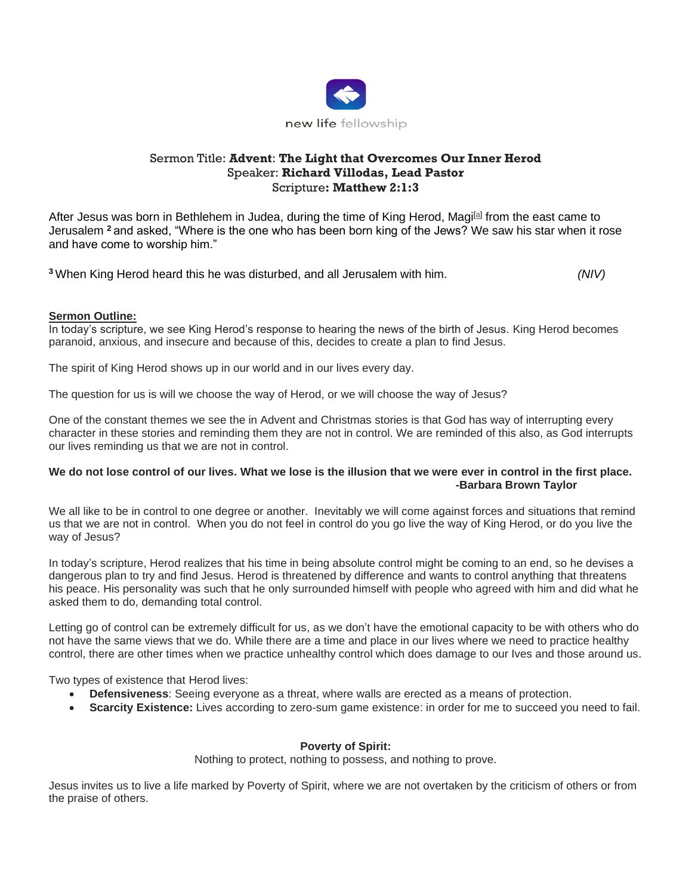

# Sermon Title: **Advent**: **The Light that Overcomes Our Inner Herod** Speaker: **Richard Villodas, Lead Pastor** Scripture**: Matthew 2:1:3**

After Jesus was born in Bethlehem in Judea, during the time of King Herod, Magi<sup>[\[a\]](https://www.biblegateway.com/passage/?search=matthew+2+&version=NIV#fen-NIV-23171a)</sup> from the east came to Jerusalem **<sup>2</sup>** and asked, "Where is the one who has been born king of the Jews? We saw his star when it rose and have come to worship him."

**<sup>3</sup>** When King Herod heard this he was disturbed, and all Jerusalem with him. *(NIV)*

### **Sermon Outline:**

In today's scripture, we see King Herod's response to hearing the news of the birth of Jesus. King Herod becomes paranoid, anxious, and insecure and because of this, decides to create a plan to find Jesus.

The spirit of King Herod shows up in our world and in our lives every day.

The question for us is will we choose the way of Herod, or we will choose the way of Jesus?

One of the constant themes we see the in Advent and Christmas stories is that God has way of interrupting every character in these stories and reminding them they are not in control. We are reminded of this also, as God interrupts our lives reminding us that we are not in control.

### **We do not lose control of our lives. What we lose is the illusion that we were ever in control in the first place. -Barbara Brown Taylor**

We all like to be in control to one degree or another. Inevitably we will come against forces and situations that remind us that we are not in control. When you do not feel in control do you go live the way of King Herod, or do you live the way of Jesus?

In today's scripture, Herod realizes that his time in being absolute control might be coming to an end, so he devises a dangerous plan to try and find Jesus. Herod is threatened by difference and wants to control anything that threatens his peace. His personality was such that he only surrounded himself with people who agreed with him and did what he asked them to do, demanding total control.

Letting go of control can be extremely difficult for us, as we don't have the emotional capacity to be with others who do not have the same views that we do. While there are a time and place in our lives where we need to practice healthy control, there are other times when we practice unhealthy control which does damage to our Ives and those around us.

Two types of existence that Herod lives:

- **Defensiveness**: Seeing everyone as a threat, where walls are erected as a means of protection.
- **Scarcity Existence:** Lives according to zero-sum game existence: in order for me to succeed you need to fail.

# **Poverty of Spirit:**

Nothing to protect, nothing to possess, and nothing to prove.

Jesus invites us to live a life marked by Poverty of Spirit, where we are not overtaken by the criticism of others or from the praise of others.